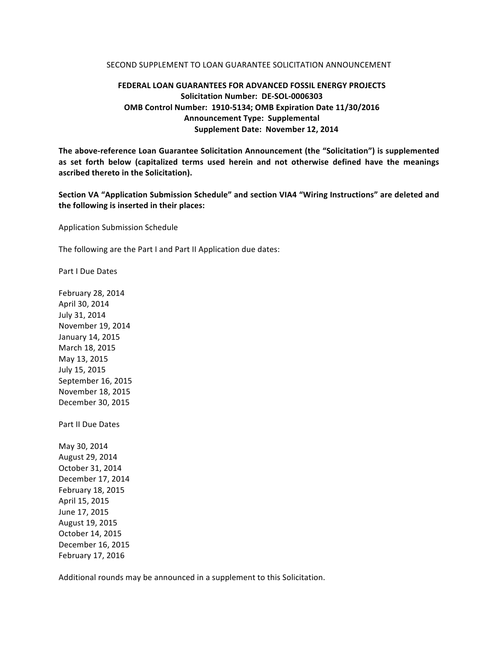## SECOND SUPPLEMENT TO LOAN GUARANTEE SOLICITATION ANNOUNCEMENT

## **FEDERAL LOAN GUARANTEES FOR ADVANCED FOSSIL ENERGY PROJECTS Solicitation Number: DE-SOL-0006303 OMB Control Number: 1910-5134; OMB Expiration Date 11/30/2016 Announcement Type: Supplemental Supplement Date: November 12, 2014**

The above-reference Loan Guarantee Solicitation Announcement (the "Solicitation") is supplemented as set forth below (capitalized terms used herein and not otherwise defined have the meanings **ascribed thereto in the Solicitation).**

Section VA "Application Submission Schedule" and section VIA4 "Wiring Instructions" are deleted and the following is inserted in their places:

Application Submission Schedule

The following are the Part I and Part II Application due dates:

Part I Due Dates

February 28, 2014 April 30, 2014 July 31, 2014 November 19, 2014 January 14, 2015 March 18, 2015 May 13, 2015 July 15, 2015 September 16, 2015 November 18, 2015 December 30, 2015 Part II Due Dates May 30, 2014 August 29, 2014 October 31, 2014 December 17, 2014 February 18, 2015 April 15, 2015 June 17, 2015 August 19, 2015

October 14, 2015 December 16, 2015 February 17, 2016

Additional rounds may be announced in a supplement to this Solicitation.